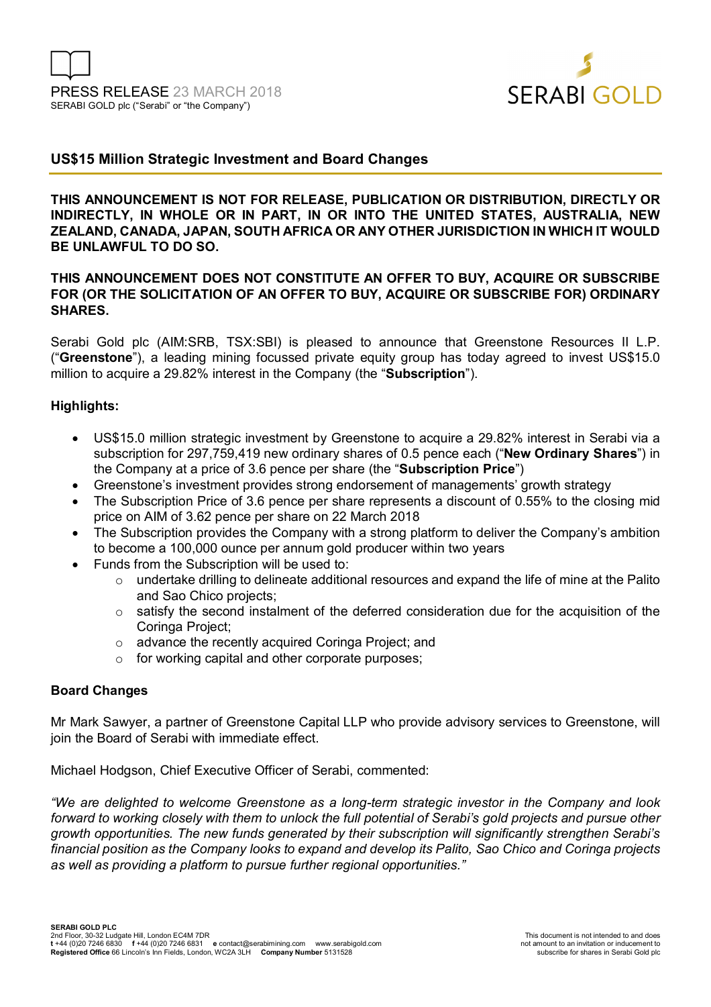

# **US\$15 Million Strategic Investment and Board Changes**

**THIS ANNOUNCEMENT IS NOT FOR RELEASE, PUBLICATION OR DISTRIBUTION, DIRECTLY OR INDIRECTLY, IN WHOLE OR IN PART, IN OR INTO THE UNITED STATES, AUSTRALIA, NEW ZEALAND, CANADA, JAPAN, SOUTH AFRICA OR ANY OTHER JURISDICTION IN WHICH IT WOULD BE UNLAWFUL TO DO SO.** 

#### **THIS ANNOUNCEMENT DOES NOT CONSTITUTE AN OFFER TO BUY, ACQUIRE OR SUBSCRIBE FOR (OR THE SOLICITATION OF AN OFFER TO BUY, ACQUIRE OR SUBSCRIBE FOR) ORDINARY SHARES.**

Serabi Gold plc (AIM:SRB, TSX:SBI) is pleased to announce that Greenstone Resources II L.P. ("**Greenstone**"), a leading mining focussed private equity group has today agreed to invest US\$15.0 million to acquire a 29.82% interest in the Company (the "**Subscription**").

#### **Highlights:**

- US\$15.0 million strategic investment by Greenstone to acquire a 29.82% interest in Serabi via a subscription for 297,759,419 new ordinary shares of 0.5 pence each ("**New Ordinary Shares**") in the Company at a price of 3.6 pence per share (the "**Subscription Price**")
- Greenstone's investment provides strong endorsement of managements' growth strategy
- The Subscription Price of 3.6 pence per share represents a discount of 0.55% to the closing mid price on AIM of 3.62 pence per share on 22 March 2018
- The Subscription provides the Company with a strong platform to deliver the Company's ambition to become a 100,000 ounce per annum gold producer within two years
- Funds from the Subscription will be used to:
	- $\circ$  undertake drilling to delineate additional resources and expand the life of mine at the Palito and Sao Chico projects;
	- $\circ$  satisfy the second instalment of the deferred consideration due for the acquisition of the Coringa Project;
	- o advance the recently acquired Coringa Project; and
	- o for working capital and other corporate purposes;

#### **Board Changes**

Mr Mark Sawyer, a partner of Greenstone Capital LLP who provide advisory services to Greenstone, will join the Board of Serabi with immediate effect.

Michael Hodgson, Chief Executive Officer of Serabi, commented:

*"We are delighted to welcome Greenstone as a long-term strategic investor in the Company and look forward to working closely with them to unlock the full potential of Serabi's gold projects and pursue other growth opportunities. The new funds generated by their subscription will significantly strengthen Serabi's financial position as the Company looks to expand and develop its Palito, Sao Chico and Coringa projects as well as providing a platform to pursue further regional opportunities."*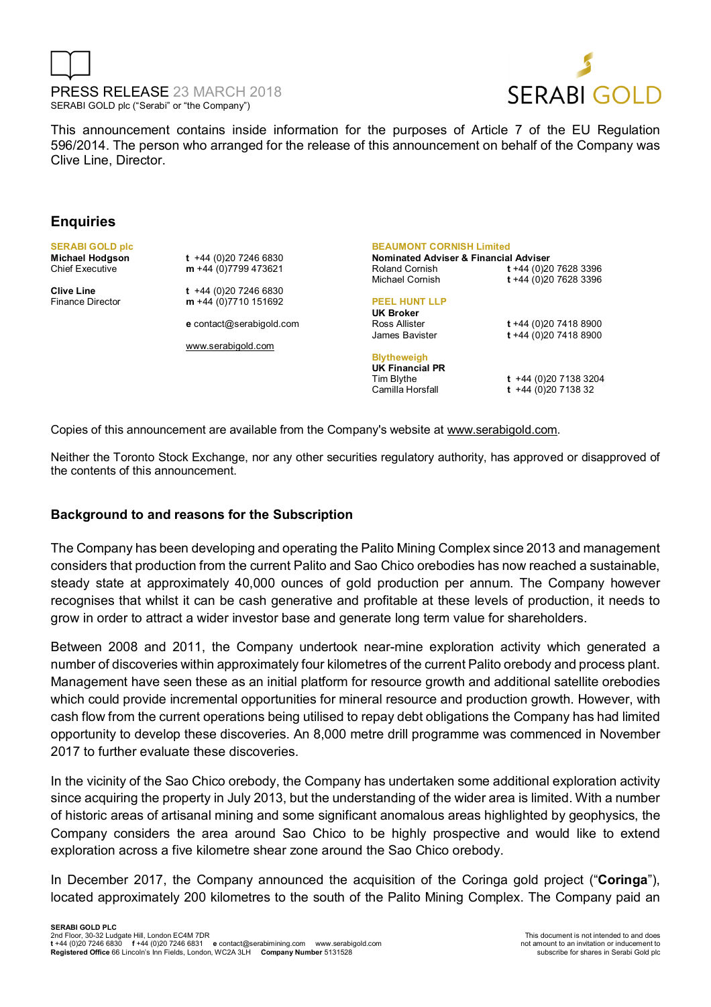



This announcement contains inside information for the purposes of Article 7 of the EU Regulation 596/2014. The person who arranged for the release of this announcement on behalf of the Company was Clive Line, Director.

#### **Enquiries**

**SERABI GOLD plc** 

**Michael Hodgson t** +44 (0)20 7246 6830<br>Chief Executive **m** +44 (0)7799 473621 m +44 (0)7799 473621 **Clive Line t** +44 (0)20 7246 6830

Finance Director **m** +44 (0)7710 151692

**e** contact@serabigold.com

www.serabigold.com

**BEAUMONT CORNISH Limited** 

**Nominated Adviser & Financial Adviser**  Roland Cornish **t** +44 (0)20 7628 3396 Michael Cornish **t** +44 (0)20 7628 3396

#### **PEEL HUNT LLP**

**UK Broker** Ross Allister **t** +44 (0)20 7418 8900

**Blytheweigh UK Financial PR**  Tim Blythe **t** +44 (0)20 7138 3204

James Bavister **t** +44 (0)20 7418 8900

 $t +44 (0)20 7138 32$ 

Copies of this announcement are available from the Company's website at www.serabigold.com.

Neither the Toronto Stock Exchange, nor any other securities regulatory authority, has approved or disapproved of the contents of this announcement.

## **Background to and reasons for the Subscription**

The Company has been developing and operating the Palito Mining Complex since 2013 and management considers that production from the current Palito and Sao Chico orebodies has now reached a sustainable, steady state at approximately 40,000 ounces of gold production per annum. The Company however recognises that whilst it can be cash generative and profitable at these levels of production, it needs to grow in order to attract a wider investor base and generate long term value for shareholders.

Between 2008 and 2011, the Company undertook near-mine exploration activity which generated a number of discoveries within approximately four kilometres of the current Palito orebody and process plant. Management have seen these as an initial platform for resource growth and additional satellite orebodies which could provide incremental opportunities for mineral resource and production growth. However, with cash flow from the current operations being utilised to repay debt obligations the Company has had limited opportunity to develop these discoveries. An 8,000 metre drill programme was commenced in November 2017 to further evaluate these discoveries.

In the vicinity of the Sao Chico orebody, the Company has undertaken some additional exploration activity since acquiring the property in July 2013, but the understanding of the wider area is limited. With a number of historic areas of artisanal mining and some significant anomalous areas highlighted by geophysics, the Company considers the area around Sao Chico to be highly prospective and would like to extend exploration across a five kilometre shear zone around the Sao Chico orebody.

In December 2017, the Company announced the acquisition of the Coringa gold project ("**Coringa**"), located approximately 200 kilometres to the south of the Palito Mining Complex. The Company paid an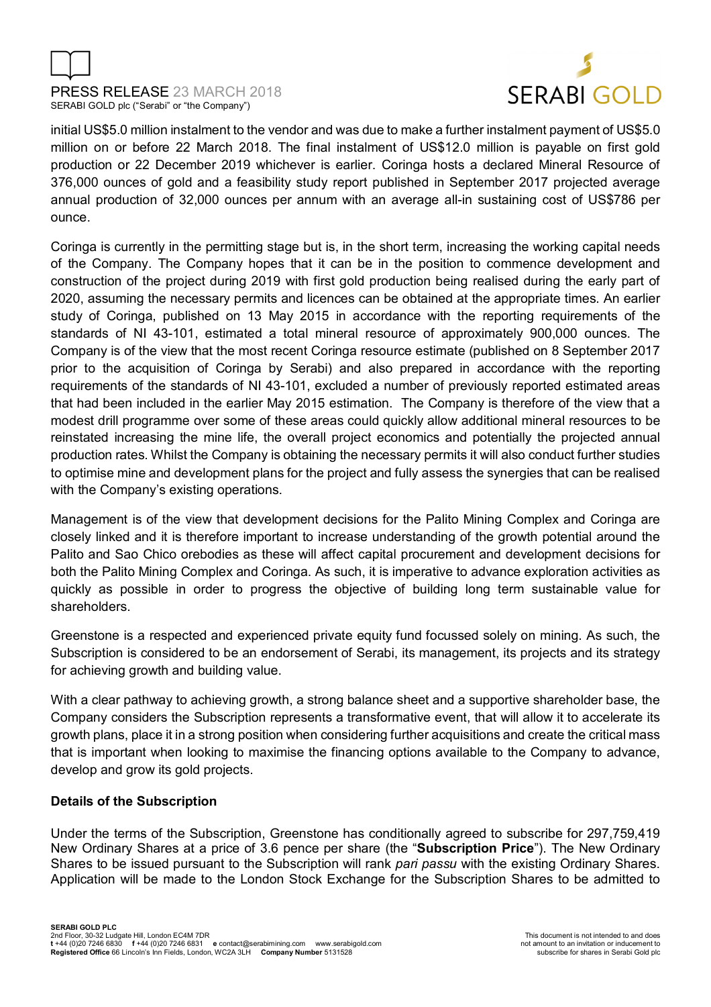



initial US\$5.0 million instalment to the vendor and was due to make a further instalment payment of US\$5.0 million on or before 22 March 2018. The final instalment of US\$12.0 million is payable on first gold production or 22 December 2019 whichever is earlier. Coringa hosts a declared Mineral Resource of 376,000 ounces of gold and a feasibility study report published in September 2017 projected average annual production of 32,000 ounces per annum with an average all-in sustaining cost of US\$786 per ounce.

Coringa is currently in the permitting stage but is, in the short term, increasing the working capital needs of the Company. The Company hopes that it can be in the position to commence development and construction of the project during 2019 with first gold production being realised during the early part of 2020, assuming the necessary permits and licences can be obtained at the appropriate times. An earlier study of Coringa, published on 13 May 2015 in accordance with the reporting requirements of the standards of NI 43-101, estimated a total mineral resource of approximately 900,000 ounces. The Company is of the view that the most recent Coringa resource estimate (published on 8 September 2017 prior to the acquisition of Coringa by Serabi) and also prepared in accordance with the reporting requirements of the standards of NI 43-101, excluded a number of previously reported estimated areas that had been included in the earlier May 2015 estimation. The Company is therefore of the view that a modest drill programme over some of these areas could quickly allow additional mineral resources to be reinstated increasing the mine life, the overall project economics and potentially the projected annual production rates. Whilst the Company is obtaining the necessary permits it will also conduct further studies to optimise mine and development plans for the project and fully assess the synergies that can be realised with the Company's existing operations.

Management is of the view that development decisions for the Palito Mining Complex and Coringa are closely linked and it is therefore important to increase understanding of the growth potential around the Palito and Sao Chico orebodies as these will affect capital procurement and development decisions for both the Palito Mining Complex and Coringa. As such, it is imperative to advance exploration activities as quickly as possible in order to progress the objective of building long term sustainable value for shareholders.

Greenstone is a respected and experienced private equity fund focussed solely on mining. As such, the Subscription is considered to be an endorsement of Serabi, its management, its projects and its strategy for achieving growth and building value.

With a clear pathway to achieving growth, a strong balance sheet and a supportive shareholder base, the Company considers the Subscription represents a transformative event, that will allow it to accelerate its growth plans, place it in a strong position when considering further acquisitions and create the critical mass that is important when looking to maximise the financing options available to the Company to advance, develop and grow its gold projects.

## **Details of the Subscription**

Under the terms of the Subscription, Greenstone has conditionally agreed to subscribe for 297,759,419 New Ordinary Shares at a price of 3.6 pence per share (the "**Subscription Price**"). The New Ordinary Shares to be issued pursuant to the Subscription will rank *pari passu* with the existing Ordinary Shares. Application will be made to the London Stock Exchange for the Subscription Shares to be admitted to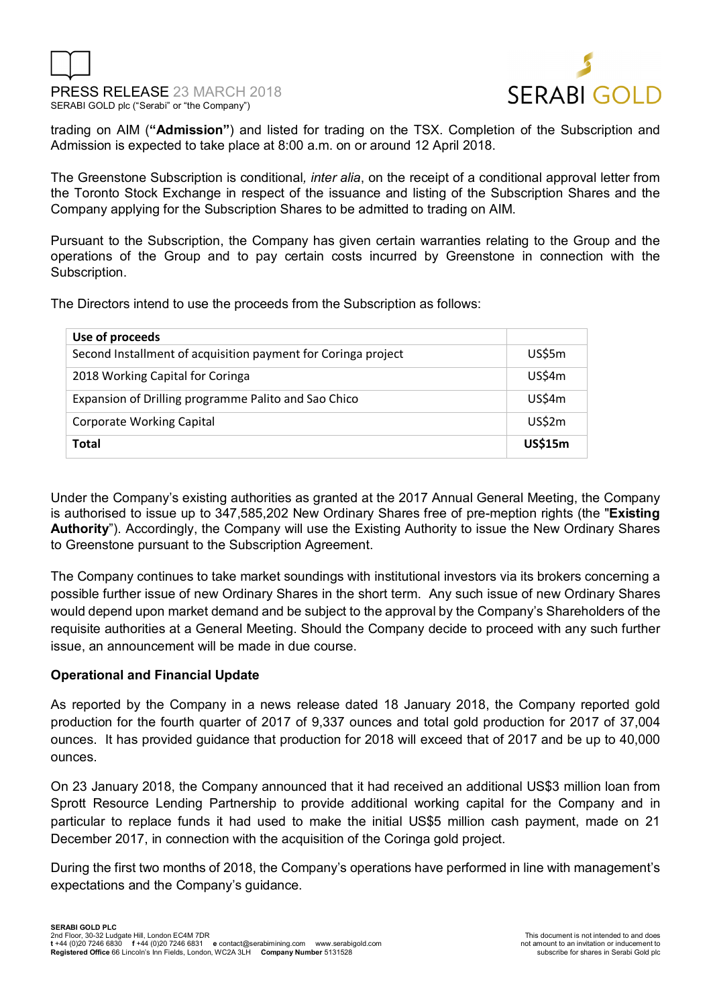



trading on AIM (**"Admission"**) and listed for trading on the TSX. Completion of the Subscription and Admission is expected to take place at 8:00 a.m. on or around 12 April 2018.

The Greenstone Subscription is conditional*, inter alia*, on the receipt of a conditional approval letter from the Toronto Stock Exchange in respect of the issuance and listing of the Subscription Shares and the Company applying for the Subscription Shares to be admitted to trading on AIM.

Pursuant to the Subscription, the Company has given certain warranties relating to the Group and the operations of the Group and to pay certain costs incurred by Greenstone in connection with the Subscription.

The Directors intend to use the proceeds from the Subscription as follows:

| Use of proceeds                                               |                |
|---------------------------------------------------------------|----------------|
| Second Installment of acquisition payment for Coringa project | US\$5m         |
| 2018 Working Capital for Coringa                              | US\$4m         |
| Expansion of Drilling programme Palito and Sao Chico          | <b>US\$4m</b>  |
| <b>Corporate Working Capital</b>                              | <b>US\$2m</b>  |
| Total                                                         | <b>US\$15m</b> |

Under the Company's existing authorities as granted at the 2017 Annual General Meeting, the Company is authorised to issue up to 347,585,202 New Ordinary Shares free of pre-meption rights (the "**Existing Authority**"). Accordingly, the Company will use the Existing Authority to issue the New Ordinary Shares to Greenstone pursuant to the Subscription Agreement.

The Company continues to take market soundings with institutional investors via its brokers concerning a possible further issue of new Ordinary Shares in the short term. Any such issue of new Ordinary Shares would depend upon market demand and be subject to the approval by the Company's Shareholders of the requisite authorities at a General Meeting. Should the Company decide to proceed with any such further issue, an announcement will be made in due course.

## **Operational and Financial Update**

As reported by the Company in a news release dated 18 January 2018, the Company reported gold production for the fourth quarter of 2017 of 9,337 ounces and total gold production for 2017 of 37,004 ounces. It has provided guidance that production for 2018 will exceed that of 2017 and be up to 40,000 ounces.

On 23 January 2018, the Company announced that it had received an additional US\$3 million loan from Sprott Resource Lending Partnership to provide additional working capital for the Company and in particular to replace funds it had used to make the initial US\$5 million cash payment, made on 21 December 2017, in connection with the acquisition of the Coringa gold project.

During the first two months of 2018, the Company's operations have performed in line with management's expectations and the Company's guidance.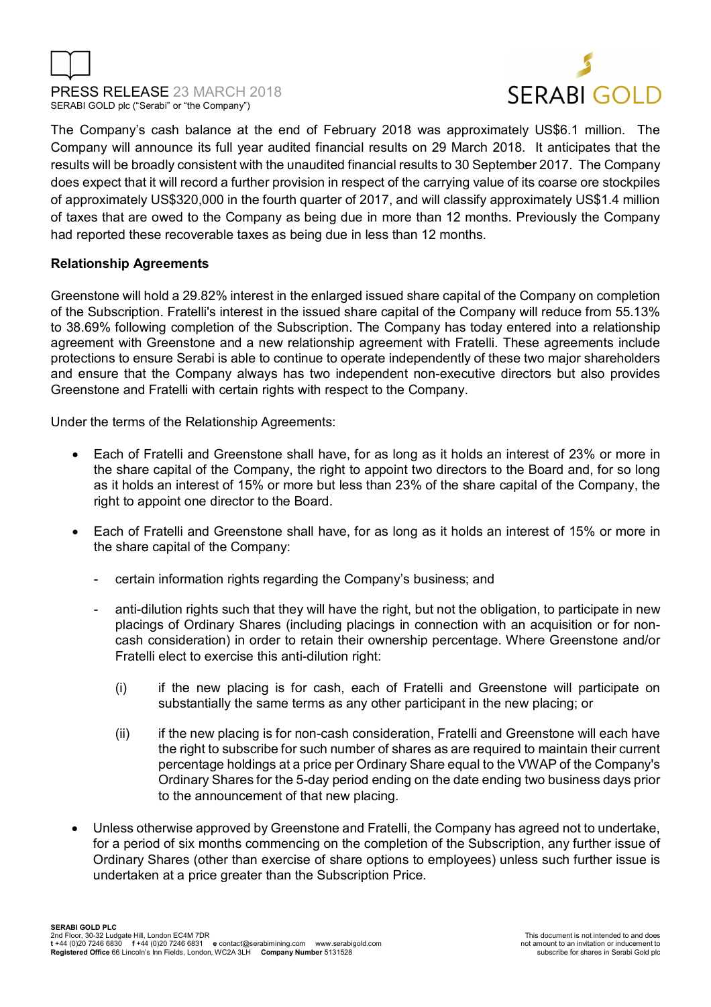



The Company's cash balance at the end of February 2018 was approximately US\$6.1 million. The Company will announce its full year audited financial results on 29 March 2018. It anticipates that the results will be broadly consistent with the unaudited financial results to 30 September 2017. The Company does expect that it will record a further provision in respect of the carrying value of its coarse ore stockpiles of approximately US\$320,000 in the fourth quarter of 2017, and will classify approximately US\$1.4 million of taxes that are owed to the Company as being due in more than 12 months. Previously the Company had reported these recoverable taxes as being due in less than 12 months.

## **Relationship Agreements**

Greenstone will hold a 29.82% interest in the enlarged issued share capital of the Company on completion of the Subscription. Fratelli's interest in the issued share capital of the Company will reduce from 55.13% to 38.69% following completion of the Subscription. The Company has today entered into a relationship agreement with Greenstone and a new relationship agreement with Fratelli. These agreements include protections to ensure Serabi is able to continue to operate independently of these two major shareholders and ensure that the Company always has two independent non-executive directors but also provides Greenstone and Fratelli with certain rights with respect to the Company.

Under the terms of the Relationship Agreements:

- Each of Fratelli and Greenstone shall have, for as long as it holds an interest of 23% or more in the share capital of the Company, the right to appoint two directors to the Board and, for so long as it holds an interest of 15% or more but less than 23% of the share capital of the Company, the right to appoint one director to the Board.
- Each of Fratelli and Greenstone shall have, for as long as it holds an interest of 15% or more in the share capital of the Company:
	- certain information rights regarding the Company's business; and
	- anti-dilution rights such that they will have the right, but not the obligation, to participate in new placings of Ordinary Shares (including placings in connection with an acquisition or for noncash consideration) in order to retain their ownership percentage. Where Greenstone and/or Fratelli elect to exercise this anti-dilution right:
		- (i) if the new placing is for cash, each of Fratelli and Greenstone will participate on substantially the same terms as any other participant in the new placing; or
		- (ii) if the new placing is for non-cash consideration, Fratelli and Greenstone will each have the right to subscribe for such number of shares as are required to maintain their current percentage holdings at a price per Ordinary Share equal to the VWAP of the Company's Ordinary Shares for the 5-day period ending on the date ending two business days prior to the announcement of that new placing.
- Unless otherwise approved by Greenstone and Fratelli, the Company has agreed not to undertake, for a period of six months commencing on the completion of the Subscription, any further issue of Ordinary Shares (other than exercise of share options to employees) unless such further issue is undertaken at a price greater than the Subscription Price.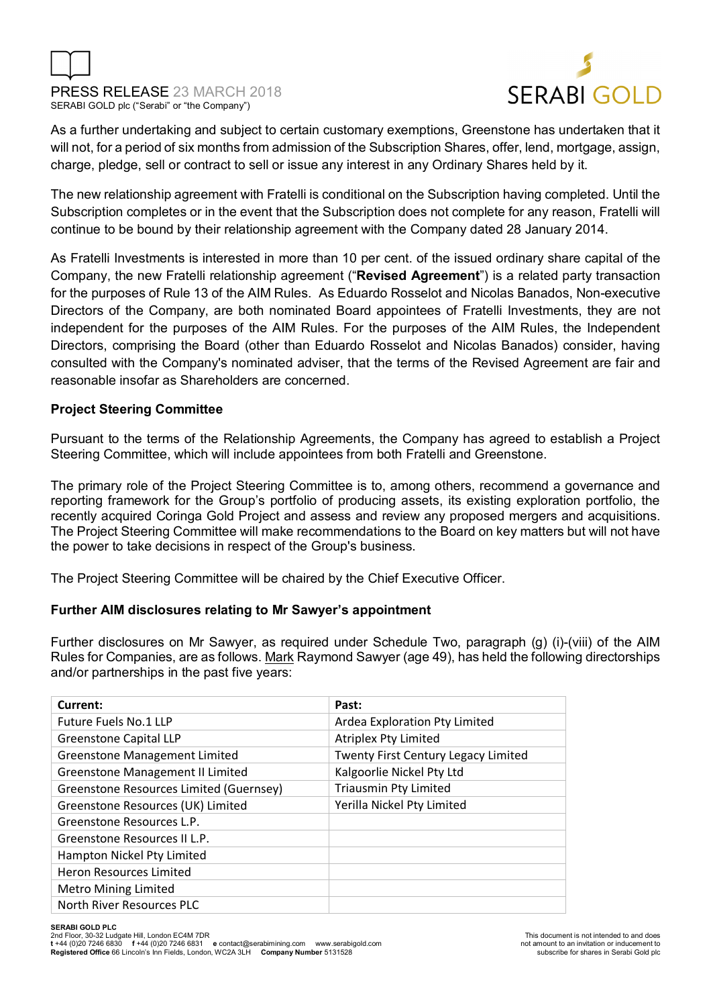



As a further undertaking and subject to certain customary exemptions, Greenstone has undertaken that it will not, for a period of six months from admission of the Subscription Shares, offer, lend, mortgage, assign, charge, pledge, sell or contract to sell or issue any interest in any Ordinary Shares held by it.

The new relationship agreement with Fratelli is conditional on the Subscription having completed. Until the Subscription completes or in the event that the Subscription does not complete for any reason, Fratelli will continue to be bound by their relationship agreement with the Company dated 28 January 2014.

As Fratelli Investments is interested in more than 10 per cent. of the issued ordinary share capital of the Company, the new Fratelli relationship agreement ("**Revised Agreement**") is a related party transaction for the purposes of Rule 13 of the AIM Rules. As Eduardo Rosselot and Nicolas Banados, Non-executive Directors of the Company, are both nominated Board appointees of Fratelli Investments, they are not independent for the purposes of the AIM Rules. For the purposes of the AIM Rules, the Independent Directors, comprising the Board (other than Eduardo Rosselot and Nicolas Banados) consider, having consulted with the Company's nominated adviser, that the terms of the Revised Agreement are fair and reasonable insofar as Shareholders are concerned.

## **Project Steering Committee**

Pursuant to the terms of the Relationship Agreements, the Company has agreed to establish a Project Steering Committee, which will include appointees from both Fratelli and Greenstone.

The primary role of the Project Steering Committee is to, among others, recommend a governance and reporting framework for the Group's portfolio of producing assets, its existing exploration portfolio, the recently acquired Coringa Gold Project and assess and review any proposed mergers and acquisitions. The Project Steering Committee will make recommendations to the Board on key matters but will not have the power to take decisions in respect of the Group's business.

The Project Steering Committee will be chaired by the Chief Executive Officer.

## **Further AIM disclosures relating to Mr Sawyer's appointment**

Further disclosures on Mr Sawyer, as required under Schedule Two, paragraph (g) (i)-(viii) of the AIM Rules for Companies, are as follows. Mark Raymond Sawyer (age 49), has held the following directorships and/or partnerships in the past five years:

| Current:                                | Past:                               |
|-----------------------------------------|-------------------------------------|
| <b>Future Fuels No.1 LLP</b>            | Ardea Exploration Pty Limited       |
| <b>Greenstone Capital LLP</b>           | Atriplex Pty Limited                |
| <b>Greenstone Management Limited</b>    | Twenty First Century Legacy Limited |
| <b>Greenstone Management II Limited</b> | Kalgoorlie Nickel Pty Ltd           |
| Greenstone Resources Limited (Guernsey) | <b>Triausmin Pty Limited</b>        |
| Greenstone Resources (UK) Limited       | Yerilla Nickel Pty Limited          |
| Greenstone Resources L.P.               |                                     |
| Greenstone Resources II L.P.            |                                     |
| Hampton Nickel Pty Limited              |                                     |
| <b>Heron Resources Limited</b>          |                                     |
| <b>Metro Mining Limited</b>             |                                     |
| North River Resources PLC               |                                     |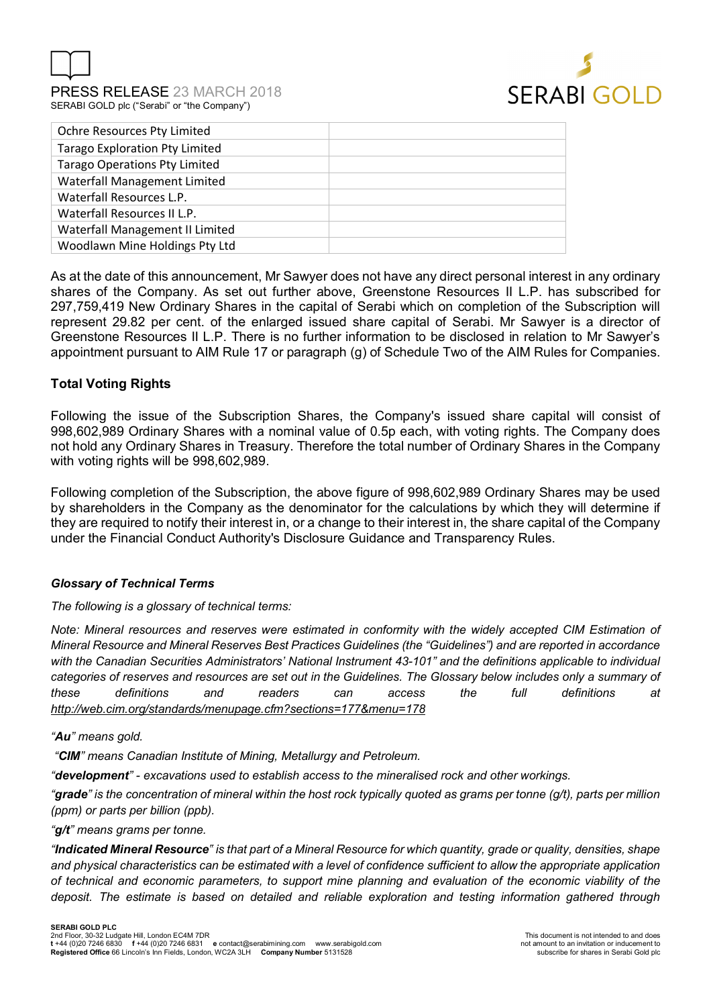

PRESS RELEASE 23 MARCH 2018 SERABI GOLD plc ("Serabi" or "the Company")



| Ochre Resources Pty Limited           |  |
|---------------------------------------|--|
| <b>Tarago Exploration Pty Limited</b> |  |
| <b>Tarago Operations Pty Limited</b>  |  |
| Waterfall Management Limited          |  |
| Waterfall Resources L.P.              |  |
| Waterfall Resources II L.P.           |  |
| Waterfall Management II Limited       |  |
| Woodlawn Mine Holdings Pty Ltd        |  |
|                                       |  |

As at the date of this announcement, Mr Sawyer does not have any direct personal interest in any ordinary shares of the Company. As set out further above, Greenstone Resources II L.P. has subscribed for 297,759,419 New Ordinary Shares in the capital of Serabi which on completion of the Subscription will represent 29.82 per cent. of the enlarged issued share capital of Serabi. Mr Sawyer is a director of Greenstone Resources II L.P. There is no further information to be disclosed in relation to Mr Sawyer's appointment pursuant to AIM Rule 17 or paragraph (g) of Schedule Two of the AIM Rules for Companies.

## **Total Voting Rights**

Following the issue of the Subscription Shares, the Company's issued share capital will consist of 998,602,989 Ordinary Shares with a nominal value of 0.5p each, with voting rights. The Company does not hold any Ordinary Shares in Treasury. Therefore the total number of Ordinary Shares in the Company with voting rights will be 998,602,989.

Following completion of the Subscription, the above figure of 998,602,989 Ordinary Shares may be used by shareholders in the Company as the denominator for the calculations by which they will determine if they are required to notify their interest in, or a change to their interest in, the share capital of the Company under the Financial Conduct Authority's Disclosure Guidance and Transparency Rules.

## *Glossary of Technical Terms*

#### *The following is a glossary of technical terms:*

*Note: Mineral resources and reserves were estimated in conformity with the widely accepted CIM Estimation of Mineral Resource and Mineral Reserves Best Practices Guidelines (the "Guidelines") and are reported in accordance with the Canadian Securities Administrators' National Instrument 43-101" and the definitions applicable to individual categories of reserves and resources are set out in the Guidelines. The Glossary below includes only a summary of these definitions and readers can access the full definitions at http://web.cim.org/standards/menupage.cfm?sections=177&menu=178* 

#### *"Au" means gold.*

 *"CIM" means Canadian Institute of Mining, Metallurgy and Petroleum.* 

*"development" - excavations used to establish access to the mineralised rock and other workings.* 

*"grade" is the concentration of mineral within the host rock typically quoted as grams per tonne (g/t), parts per million (ppm) or parts per billion (ppb).* 

#### *"g/t" means grams per tonne.*

*"Indicated Mineral Resource" is that part of a Mineral Resource for which quantity, grade or quality, densities, shape and physical characteristics can be estimated with a level of confidence sufficient to allow the appropriate application of technical and economic parameters, to support mine planning and evaluation of the economic viability of the deposit. The estimate is based on detailed and reliable exploration and testing information gathered through*